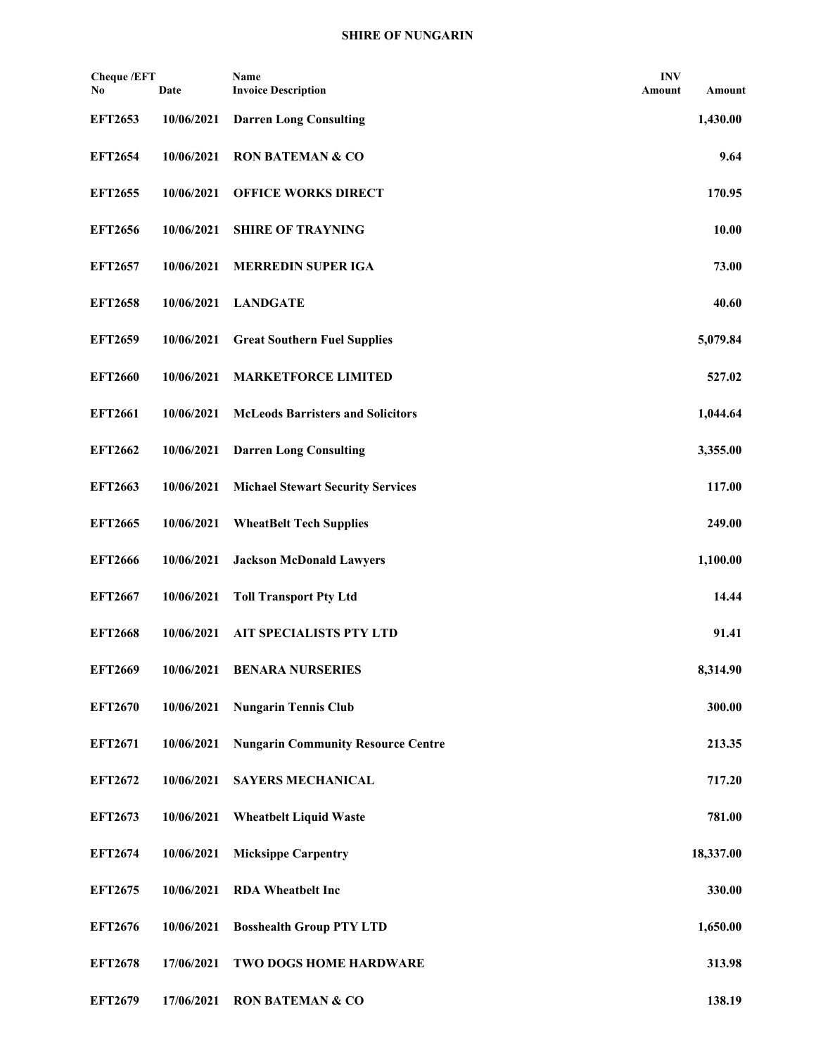## **SHIRE OF NUNGARIN**

| <b>Cheque /EFT</b><br>No | Date       | Name<br><b>Invoice Description</b>        | <b>INV</b><br>Amount | Amount    |
|--------------------------|------------|-------------------------------------------|----------------------|-----------|
| <b>EFT2653</b>           | 10/06/2021 | <b>Darren Long Consulting</b>             |                      | 1,430.00  |
| <b>EFT2654</b>           | 10/06/2021 | <b>RON BATEMAN &amp; CO</b>               |                      | 9.64      |
| <b>EFT2655</b>           | 10/06/2021 | <b>OFFICE WORKS DIRECT</b>                |                      | 170.95    |
| <b>EFT2656</b>           | 10/06/2021 | <b>SHIRE OF TRAYNING</b>                  |                      | 10.00     |
| <b>EFT2657</b>           | 10/06/2021 | <b>MERREDIN SUPER IGA</b>                 |                      | 73.00     |
| <b>EFT2658</b>           | 10/06/2021 | <b>LANDGATE</b>                           |                      | 40.60     |
| <b>EFT2659</b>           | 10/06/2021 | <b>Great Southern Fuel Supplies</b>       |                      | 5,079.84  |
| <b>EFT2660</b>           | 10/06/2021 | <b>MARKETFORCE LIMITED</b>                |                      | 527.02    |
| <b>EFT2661</b>           | 10/06/2021 | <b>McLeods Barristers and Solicitors</b>  |                      | 1,044.64  |
| <b>EFT2662</b>           | 10/06/2021 | <b>Darren Long Consulting</b>             |                      | 3,355.00  |
| <b>EFT2663</b>           | 10/06/2021 | <b>Michael Stewart Security Services</b>  |                      | 117.00    |
| <b>EFT2665</b>           | 10/06/2021 | <b>WheatBelt Tech Supplies</b>            |                      | 249.00    |
| <b>EFT2666</b>           | 10/06/2021 | <b>Jackson McDonald Lawyers</b>           |                      | 1,100.00  |
| <b>EFT2667</b>           | 10/06/2021 | <b>Toll Transport Pty Ltd</b>             |                      | 14.44     |
| <b>EFT2668</b>           | 10/06/2021 | <b>AIT SPECIALISTS PTY LTD</b>            |                      | 91.41     |
| <b>EFT2669</b>           | 10/06/2021 | <b>BENARA NURSERIES</b>                   |                      | 8,314.90  |
| <b>EFT2670</b>           | 10/06/2021 | <b>Nungarin Tennis Club</b>               |                      | 300.00    |
| <b>EFT2671</b>           | 10/06/2021 | <b>Nungarin Community Resource Centre</b> |                      | 213.35    |
| <b>EFT2672</b>           | 10/06/2021 | <b>SAYERS MECHANICAL</b>                  |                      | 717.20    |
| <b>EFT2673</b>           | 10/06/2021 | <b>Wheatbelt Liquid Waste</b>             |                      | 781.00    |
| <b>EFT2674</b>           | 10/06/2021 | <b>Micksippe Carpentry</b>                |                      | 18,337.00 |
| <b>EFT2675</b>           | 10/06/2021 | <b>RDA</b> Wheatbelt Inc                  |                      | 330.00    |
| <b>EFT2676</b>           | 10/06/2021 | <b>Bosshealth Group PTY LTD</b>           |                      | 1,650.00  |
| <b>EFT2678</b>           | 17/06/2021 | <b>TWO DOGS HOME HARDWARE</b>             |                      | 313.98    |
| <b>EFT2679</b>           | 17/06/2021 | <b>RON BATEMAN &amp; CO</b>               |                      | 138.19    |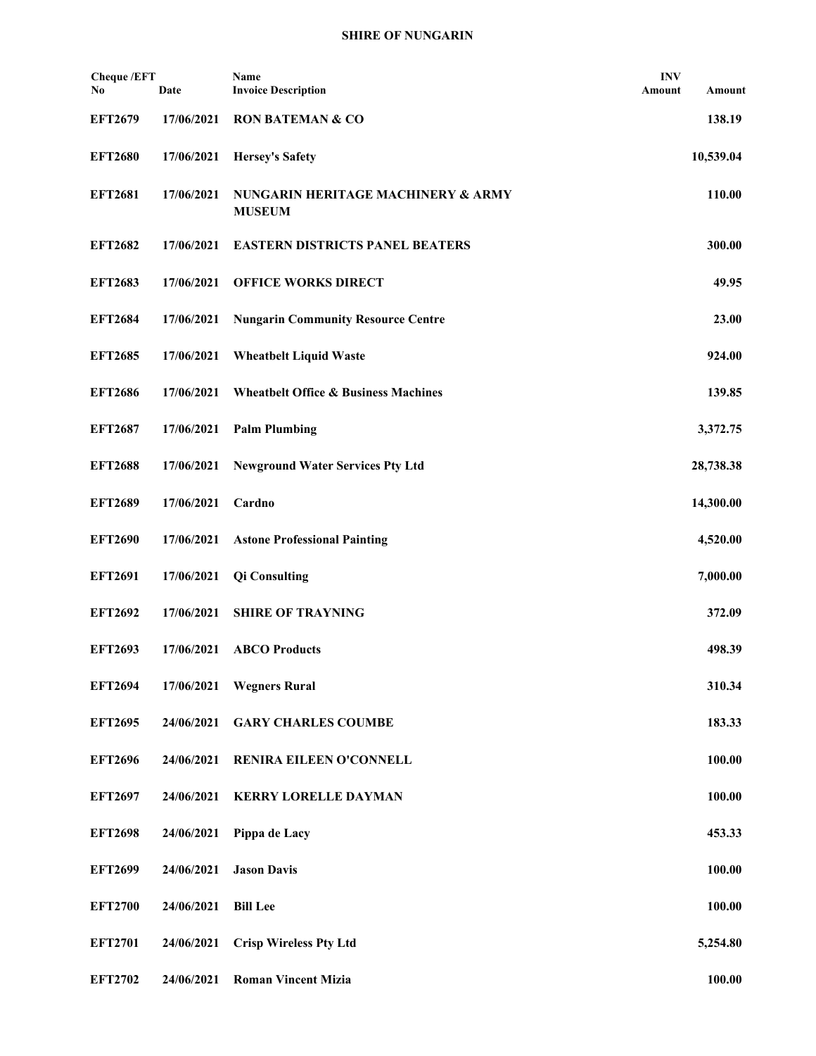## **SHIRE OF NUNGARIN**

| <b>Cheque /EFT</b><br>No | Date       | Name<br><b>Invoice Description</b>                  | <b>INV</b><br>Amount | Amount    |
|--------------------------|------------|-----------------------------------------------------|----------------------|-----------|
| <b>EFT2679</b>           | 17/06/2021 | <b>RON BATEMAN &amp; CO</b>                         |                      | 138.19    |
| <b>EFT2680</b>           | 17/06/2021 | <b>Hersey's Safety</b>                              |                      | 10,539.04 |
| <b>EFT2681</b>           | 17/06/2021 | NUNGARIN HERITAGE MACHINERY & ARMY<br><b>MUSEUM</b> |                      | 110.00    |
| <b>EFT2682</b>           | 17/06/2021 | <b>EASTERN DISTRICTS PANEL BEATERS</b>              |                      | 300.00    |
| <b>EFT2683</b>           | 17/06/2021 | <b>OFFICE WORKS DIRECT</b>                          |                      | 49.95     |
| <b>EFT2684</b>           | 17/06/2021 | <b>Nungarin Community Resource Centre</b>           |                      | 23.00     |
| <b>EFT2685</b>           | 17/06/2021 | <b>Wheatbelt Liquid Waste</b>                       |                      | 924.00    |
| <b>EFT2686</b>           | 17/06/2021 | <b>Wheatbelt Office &amp; Business Machines</b>     |                      | 139.85    |
| <b>EFT2687</b>           | 17/06/2021 | <b>Palm Plumbing</b>                                |                      | 3,372.75  |
| <b>EFT2688</b>           | 17/06/2021 | <b>Newground Water Services Pty Ltd</b>             |                      | 28,738.38 |
| <b>EFT2689</b>           | 17/06/2021 | Cardno                                              |                      | 14,300.00 |
| <b>EFT2690</b>           | 17/06/2021 | <b>Astone Professional Painting</b>                 |                      | 4,520.00  |
| <b>EFT2691</b>           | 17/06/2021 | <b>Qi Consulting</b>                                |                      | 7,000.00  |
| <b>EFT2692</b>           | 17/06/2021 | <b>SHIRE OF TRAYNING</b>                            |                      | 372.09    |
| <b>EFT2693</b>           | 17/06/2021 | <b>ABCO</b> Products                                |                      | 498.39    |
| <b>EFT2694</b>           | 17/06/2021 | <b>Wegners Rural</b>                                |                      | 310.34    |
| <b>EFT2695</b>           | 24/06/2021 | <b>GARY CHARLES COUMBE</b>                          |                      | 183.33    |
| <b>EFT2696</b>           | 24/06/2021 | RENIRA EILEEN O'CONNELL                             |                      | 100.00    |
| <b>EFT2697</b>           | 24/06/2021 | <b>KERRY LORELLE DAYMAN</b>                         |                      | 100.00    |
| <b>EFT2698</b>           | 24/06/2021 | Pippa de Lacy                                       |                      | 453.33    |
| <b>EFT2699</b>           | 24/06/2021 | <b>Jason Davis</b>                                  |                      | 100.00    |
| <b>EFT2700</b>           | 24/06/2021 | <b>Bill Lee</b>                                     |                      | 100.00    |
| <b>EFT2701</b>           | 24/06/2021 | <b>Crisp Wireless Pty Ltd</b>                       |                      | 5,254.80  |
| <b>EFT2702</b>           | 24/06/2021 | <b>Roman Vincent Mizia</b>                          |                      | 100.00    |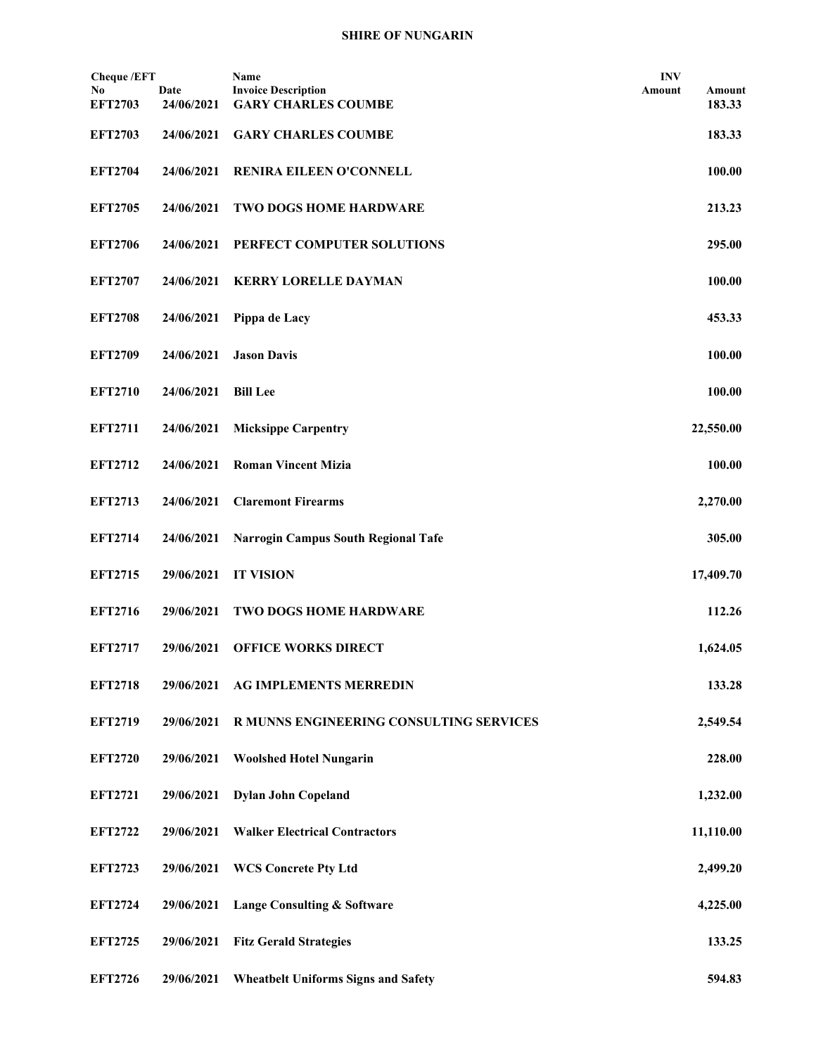| <b>Cheque</b> /EFT   |            | Name                                       | <b>INV</b> |           |
|----------------------|------------|--------------------------------------------|------------|-----------|
| No<br><b>EFT2703</b> | Date       | <b>Invoice Description</b>                 | Amount     | Amount    |
|                      | 24/06/2021 | <b>GARY CHARLES COUMBE</b>                 |            | 183.33    |
| <b>EFT2703</b>       | 24/06/2021 | <b>GARY CHARLES COUMBE</b>                 |            | 183.33    |
| <b>EFT2704</b>       | 24/06/2021 | RENIRA EILEEN O'CONNELL                    |            | 100.00    |
|                      |            |                                            |            |           |
| <b>EFT2705</b>       | 24/06/2021 | <b>TWO DOGS HOME HARDWARE</b>              |            | 213.23    |
| <b>EFT2706</b>       | 24/06/2021 | PERFECT COMPUTER SOLUTIONS                 |            | 295.00    |
| <b>EFT2707</b>       | 24/06/2021 | <b>KERRY LORELLE DAYMAN</b>                |            | 100.00    |
|                      |            |                                            |            |           |
| <b>EFT2708</b>       | 24/06/2021 | Pippa de Lacy                              |            | 453.33    |
| <b>EFT2709</b>       | 24/06/2021 | <b>Jason Davis</b>                         |            | 100.00    |
|                      |            |                                            |            |           |
| <b>EFT2710</b>       | 24/06/2021 | <b>Bill Lee</b>                            |            | 100.00    |
| <b>EFT2711</b>       | 24/06/2021 | <b>Micksippe Carpentry</b>                 |            | 22,550.00 |
|                      |            |                                            |            |           |
| <b>EFT2712</b>       | 24/06/2021 | <b>Roman Vincent Mizia</b>                 |            | 100.00    |
| <b>EFT2713</b>       | 24/06/2021 | <b>Claremont Firearms</b>                  |            | 2,270.00  |
|                      |            |                                            |            |           |
| <b>EFT2714</b>       | 24/06/2021 | <b>Narrogin Campus South Regional Tafe</b> |            | 305.00    |
| <b>EFT2715</b>       | 29/06/2021 | <b>IT VISION</b>                           |            | 17,409.70 |
|                      |            |                                            |            |           |
| <b>EFT2716</b>       | 29/06/2021 | <b>TWO DOGS HOME HARDWARE</b>              |            | 112.26    |
| <b>EFT2717</b>       | 29/06/2021 | <b>OFFICE WORKS DIRECT</b>                 |            | 1,624.05  |
|                      |            |                                            |            |           |
| <b>EFT2718</b>       | 29/06/2021 | AG IMPLEMENTS MERREDIN                     |            | 133.28    |
| <b>EFT2719</b>       | 29/06/2021 | R MUNNS ENGINEERING CONSULTING SERVICES    |            | 2,549.54  |
|                      |            |                                            |            |           |
| <b>EFT2720</b>       | 29/06/2021 | <b>Woolshed Hotel Nungarin</b>             |            | 228.00    |
| <b>EFT2721</b>       | 29/06/2021 | <b>Dylan John Copeland</b>                 |            | 1,232.00  |
|                      |            |                                            |            |           |
| <b>EFT2722</b>       | 29/06/2021 | <b>Walker Electrical Contractors</b>       |            | 11,110.00 |
| <b>EFT2723</b>       | 29/06/2021 | <b>WCS Concrete Pty Ltd</b>                |            | 2,499.20  |
| <b>EFT2724</b>       | 29/06/2021 | <b>Lange Consulting &amp; Software</b>     |            | 4,225.00  |
|                      |            |                                            |            |           |
| <b>EFT2725</b>       | 29/06/2021 | <b>Fitz Gerald Strategies</b>              |            | 133.25    |
| <b>EFT2726</b>       | 29/06/2021 | <b>Wheatbelt Uniforms Signs and Safety</b> |            | 594.83    |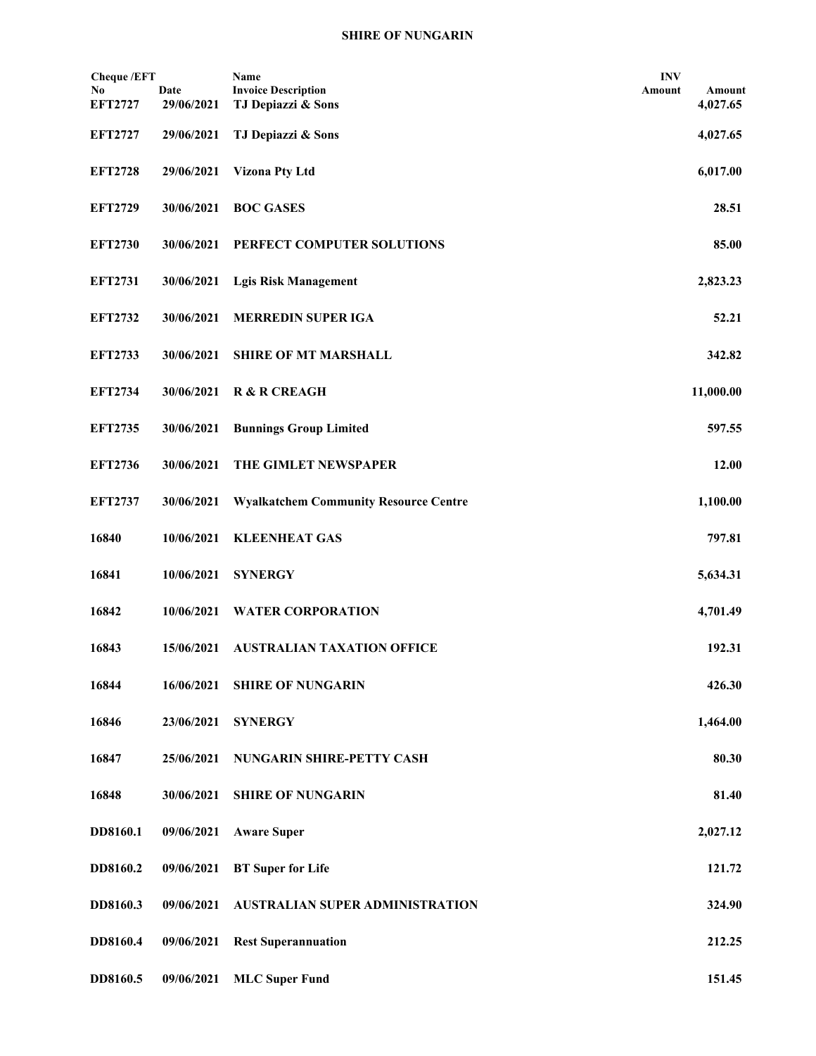| <b>Cheque /EFT</b>   |                    | Name                                             | <b>INV</b> |                    |
|----------------------|--------------------|--------------------------------------------------|------------|--------------------|
| No<br><b>EFT2727</b> | Date<br>29/06/2021 | <b>Invoice Description</b><br>TJ Depiazzi & Sons | Amount     | Amount<br>4,027.65 |
| <b>EFT2727</b>       | 29/06/2021         | TJ Depiazzi & Sons                               |            | 4,027.65           |
| <b>EFT2728</b>       | 29/06/2021         | <b>Vizona Pty Ltd</b>                            |            | 6,017.00           |
| <b>EFT2729</b>       | 30/06/2021         | <b>BOC GASES</b>                                 |            | 28.51              |
| <b>EFT2730</b>       | 30/06/2021         | PERFECT COMPUTER SOLUTIONS                       |            | 85.00              |
| <b>EFT2731</b>       | 30/06/2021         | <b>Lgis Risk Management</b>                      |            | 2,823.23           |
| <b>EFT2732</b>       | 30/06/2021         | <b>MERREDIN SUPER IGA</b>                        |            | 52.21              |
| <b>EFT2733</b>       | 30/06/2021         | <b>SHIRE OF MT MARSHALL</b>                      |            | 342.82             |
| <b>EFT2734</b>       | 30/06/2021         | <b>R &amp; R CREAGH</b>                          |            | 11,000.00          |
| <b>EFT2735</b>       | 30/06/2021         | <b>Bunnings Group Limited</b>                    |            | 597.55             |
| <b>EFT2736</b>       | 30/06/2021         | THE GIMLET NEWSPAPER                             |            | 12.00              |
| <b>EFT2737</b>       | 30/06/2021         | <b>Wyalkatchem Community Resource Centre</b>     |            | 1,100.00           |
| 16840                | 10/06/2021         | <b>KLEENHEAT GAS</b>                             |            | 797.81             |
| 16841                | 10/06/2021         | <b>SYNERGY</b>                                   |            | 5,634.31           |
| 16842                | 10/06/2021         | <b>WATER CORPORATION</b>                         |            | 4,701.49           |
| 16843                | 15/06/2021         | <b>AUSTRALIAN TAXATION OFFICE</b>                |            | 192.31             |
| 16844                | 16/06/2021         | <b>SHIRE OF NUNGARIN</b>                         |            | 426.30             |
| 16846                | 23/06/2021         | <b>SYNERGY</b>                                   |            | 1,464.00           |
| 16847                | 25/06/2021         | NUNGARIN SHIRE-PETTY CASH                        |            | 80.30              |
| 16848                | 30/06/2021         | <b>SHIRE OF NUNGARIN</b>                         |            | 81.40              |
| DD8160.1             | 09/06/2021         | <b>Aware Super</b>                               |            | 2,027.12           |
| DD8160.2             | 09/06/2021         | <b>BT</b> Super for Life                         |            | 121.72             |
| DD8160.3             | 09/06/2021         | <b>AUSTRALIAN SUPER ADMINISTRATION</b>           |            | 324.90             |
| DD8160.4             | 09/06/2021         | <b>Rest Superannuation</b>                       |            | 212.25             |
| DD8160.5             | 09/06/2021         | <b>MLC Super Fund</b>                            |            | 151.45             |